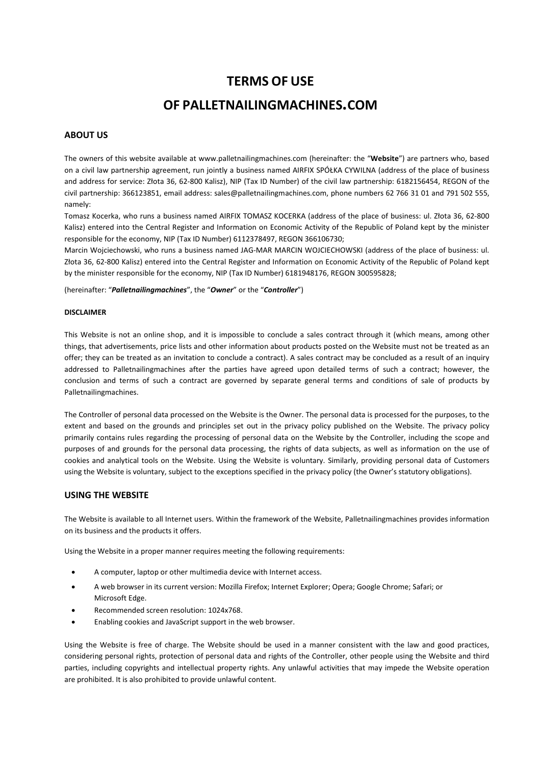# **TERMS OF USE**

# **OF PALLETNAILINGMACHINES.COM**

## **ABOUT US**

The owners of this website available at www.palletnailingmachines.com (hereinafter: the "**Website**") are partners who, based on a civil law partnership agreement, run jointly a business named AIRFIX SPÓŁKA CYWILNA (address of the place of business and address for service: Złota 36, 62-800 Kalisz), NIP (Tax ID Number) of the civil law partnership: 6182156454, REGON of the civil partnership: 366123851, email address: sales@palletnailingmachines.com, phone numbers 62 766 31 01 and 791 502 555, namely:

Tomasz Kocerka, who runs a business named AIRFIX TOMASZ KOCERKA (address of the place of business: ul. Złota 36, 62-800 Kalisz) entered into the Central Register and Information on Economic Activity of the Republic of Poland kept by the minister responsible for the economy, NIP (Tax ID Number) 6112378497, REGON 366106730;

Marcin Wojciechowski, who runs a business named JAG-MAR MARCIN WOJCIECHOWSKI (address of the place of business: ul. Złota 36, 62-800 Kalisz) entered into the Central Register and Information on Economic Activity of the Republic of Poland kept by the minister responsible for the economy, NIP (Tax ID Number) 6181948176, REGON 300595828;

(hereinafter: "*Palletnailingmachines*", the "*Owner*" or the "*Controller*")

#### **DISCLAIMER**

This Website is not an online shop, and it is impossible to conclude a sales contract through it (which means, among other things, that advertisements, price lists and other information about products posted on the Website must not be treated as an offer; they can be treated as an invitation to conclude a contract). A sales contract may be concluded as a result of an inquiry addressed to Palletnailingmachines after the parties have agreed upon detailed terms of such a contract; however, the conclusion and terms of such a contract are governed by separate general terms and conditions of sale of products by Palletnailingmachines.

The Controller of personal data processed on the Website is the Owner. The personal data is processed for the purposes, to the extent and based on the grounds and principles set out in the privacy policy published on the Website. The privacy policy primarily contains rules regarding the processing of personal data on the Website by the Controller, including the scope and purposes of and grounds for the personal data processing, the rights of data subjects, as well as information on the use of cookies and analytical tools on the Website. Using the Website is voluntary. Similarly, providing personal data of Customers using the Website is voluntary, subject to the exceptions specified in the privacy policy (the Owner's statutory obligations).

### **USING THE WEBSITE**

The Website is available to all Internet users. Within the framework of the Website, Palletnailingmachines provides information on its business and the products it offers.

Using the Website in a proper manner requires meeting the following requirements:

- A computer, laptop or other multimedia device with Internet access.
- A web browser in its current version: Mozilla Firefox; Internet Explorer; Opera; Google Chrome; Safari; or Microsoft Edge.
- Recommended screen resolution: 1024x768.
- Enabling cookies and JavaScript support in the web browser.

Using the Website is free of charge. The Website should be used in a manner consistent with the law and good practices, considering personal rights, protection of personal data and rights of the Controller, other people using the Website and third parties, including copyrights and intellectual property rights. Any unlawful activities that may impede the Website operation are prohibited. It is also prohibited to provide unlawful content.